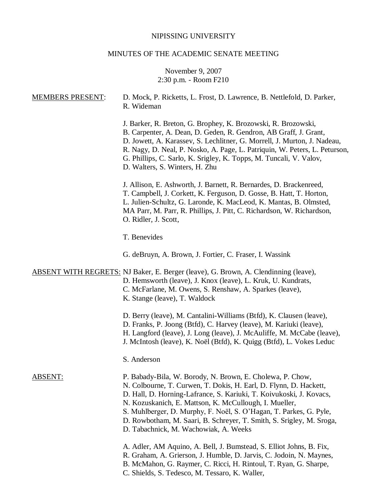# NIPISSING UNIVERSITY

# MINUTES OF THE ACADEMIC SENATE MEETING

# November 9, 2007 2:30 p.m. - Room F210

| <b>MEMBERS PRESENT:</b> | D. Mock, P. Ricketts, L. Frost, D. Lawrence, B. Nettlefold, D. Parker,<br>R. Wideman                                                                                                                                                                                                                                                                                                                                                                   |
|-------------------------|--------------------------------------------------------------------------------------------------------------------------------------------------------------------------------------------------------------------------------------------------------------------------------------------------------------------------------------------------------------------------------------------------------------------------------------------------------|
|                         | J. Barker, R. Breton, G. Brophey, K. Brozowski, R. Brozowski,<br>B. Carpenter, A. Dean, D. Geden, R. Gendron, AB Graff, J. Grant,<br>D. Jowett, A. Karassev, S. Lechlitner, G. Morrell, J. Murton, J. Nadeau,<br>R. Nagy, D. Neal, P. Nosko, A. Page, L. Patriquin, W. Peters, L. Peturson,<br>G. Phillips, C. Sarlo, K. Srigley, K. Topps, M. Tuncali, V. Valov,<br>D. Walters, S. Winters, H. Zhu                                                    |
|                         | J. Allison, E. Ashworth, J. Barnett, R. Bernardes, D. Brackenreed,<br>T. Campbell, J. Corkett, K. Ferguson, D. Gosse, B. Hatt, T. Horton,<br>L. Julien-Schultz, G. Laronde, K. MacLeod, K. Mantas, B. Olmsted,<br>MA Parr, M. Parr, R. Phillips, J. Pitt, C. Richardson, W. Richardson,<br>O. Ridler, J. Scott,                                                                                                                                        |
|                         | T. Benevides                                                                                                                                                                                                                                                                                                                                                                                                                                           |
|                         | G. deBruyn, A. Brown, J. Fortier, C. Fraser, I. Wassink                                                                                                                                                                                                                                                                                                                                                                                                |
|                         | <b>ABSENT WITH REGRETS:</b> NJ Baker, E. Berger (leave), G. Brown, A. Clendinning (leave),<br>D. Hemsworth (leave), J. Knox (leave), L. Kruk, U. Kundrats,<br>C. McFarlane, M. Owens, S. Renshaw, A. Sparkes (leave),<br>K. Stange (leave), T. Waldock                                                                                                                                                                                                 |
|                         | D. Berry (leave), M. Cantalini-Williams (Btfd), K. Clausen (leave),<br>D. Franks, P. Joong (Btfd), C. Harvey (leave), M. Kariuki (leave),<br>H. Langford (leave), J. Long (leave), J. McAuliffe, M. McCabe (leave),<br>J. McIntosh (leave), K. Noël (Btfd), K. Quigg (Btfd), L. Vokes Leduc                                                                                                                                                            |
|                         | S. Anderson                                                                                                                                                                                                                                                                                                                                                                                                                                            |
| ABSENT:                 | P. Babady-Bila, W. Borody, N. Brown, E. Cholewa, P. Chow,<br>N. Colbourne, T. Curwen, T. Dokis, H. Earl, D. Flynn, D. Hackett,<br>D. Hall, D. Horning-Lafrance, S. Kariuki, T. Koivukoski, J. Kovacs,<br>N. Kozuskanich, E. Mattson, K. McCullough, I. Mueller,<br>S. Muhlberger, D. Murphy, F. Noël, S. O'Hagan, T. Parkes, G. Pyle,<br>D. Rowbotham, M. Saari, B. Schreyer, T. Smith, S. Srigley, M. Sroga,<br>D. Tabachnick, M. Wachowiak, A. Weeks |
|                         | A. Adler, AM Aquino, A. Bell, J. Bumstead, S. Elliot Johns, B. Fix,<br>R. Graham, A. Grierson, J. Humble, D. Jarvis, C. Jodoin, N. Maynes,<br>B. McMahon, G. Raymer, C. Ricci, H. Rintoul, T. Ryan, G. Sharpe,<br>C. Shields, S. Tedesco, M. Tessaro, K. Waller,                                                                                                                                                                                       |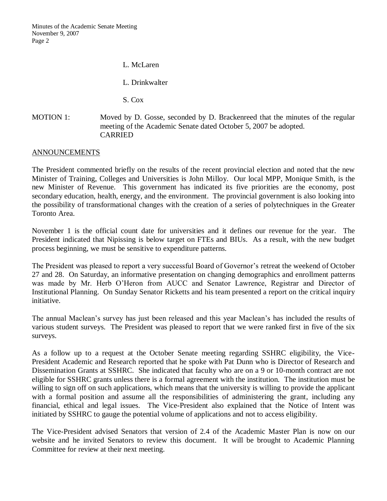Minutes of the Academic Senate Meeting November 9, 2007 Page 2

L. McLaren

L. Drinkwalter

S. Cox

# MOTION 1: Moved by D. Gosse, seconded by D. Brackenreed that the minutes of the regular meeting of the Academic Senate dated October 5, 2007 be adopted. CARRIED

# ANNOUNCEMENTS

The President commented briefly on the results of the recent provincial election and noted that the new Minister of Training, Colleges and Universities is John Milloy. Our local MPP, Monique Smith, is the new Minister of Revenue. This government has indicated its five priorities are the economy, post secondary education, health, energy, and the environment. The provincial government is also looking into the possibility of transformational changes with the creation of a series of polytechniques in the Greater Toronto Area.

November 1 is the official count date for universities and it defines our revenue for the year. The President indicated that Nipissing is below target on FTEs and BIUs. As a result, with the new budget process beginning, we must be sensitive to expenditure patterns.

The President was pleased to report a very successful Board of Governor's retreat the weekend of October 27 and 28. On Saturday, an informative presentation on changing demographics and enrollment patterns was made by Mr. Herb O'Heron from AUCC and Senator Lawrence, Registrar and Director of Institutional Planning. On Sunday Senator Ricketts and his team presented a report on the critical inquiry initiative.

The annual Maclean's survey has just been released and this year Maclean's has included the results of various student surveys. The President was pleased to report that we were ranked first in five of the six surveys.

As a follow up to a request at the October Senate meeting regarding SSHRC eligibility, the Vice-President Academic and Research reported that he spoke with Pat Dunn who is Director of Research and Dissemination Grants at SSHRC. She indicated that faculty who are on a 9 or 10-month contract are not eligible for SSHRC grants unless there is a formal agreement with the institution. The institution must be willing to sign off on such applications, which means that the university is willing to provide the applicant with a formal position and assume all the responsibilities of administering the grant, including any financial, ethical and legal issues. The Vice-President also explained that the Notice of Intent was initiated by SSHRC to gauge the potential volume of applications and not to access eligibility.

The Vice-President advised Senators that version of 2.4 of the Academic Master Plan is now on our website and he invited Senators to review this document. It will be brought to Academic Planning Committee for review at their next meeting.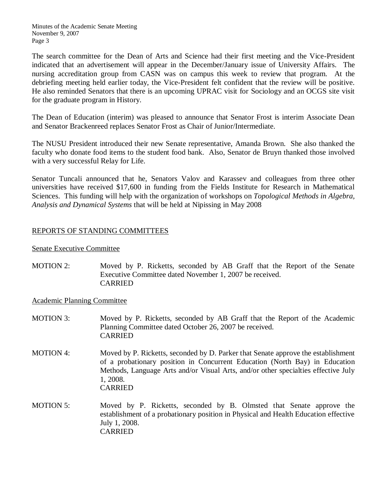The search committee for the Dean of Arts and Science had their first meeting and the Vice-President indicated that an advertisement will appear in the December/January issue of University Affairs. The nursing accreditation group from CASN was on campus this week to review that program. At the debriefing meeting held earlier today, the Vice-President felt confident that the review will be positive. He also reminded Senators that there is an upcoming UPRAC visit for Sociology and an OCGS site visit for the graduate program in History.

The Dean of Education (interim) was pleased to announce that Senator Frost is interim Associate Dean and Senator Brackenreed replaces Senator Frost as Chair of Junior/Intermediate.

The NUSU President introduced their new Senate representative, Amanda Brown. She also thanked the faculty who donate food items to the student food bank. Also, Senator de Bruyn thanked those involved with a very successful Relay for Life.

Senator Tuncali announced that he, Senators Valov and Karassev and colleagues from three other universities have received \$17,600 in funding from the Fields Institute for Research in Mathematical Sciences. This funding will help with the organization of workshops on *Topological Methods in Algebra, Analysis and Dynamical Systems* that will be held at Nipissing in May 2008

# REPORTS OF STANDING COMMITTEES

# Senate Executive Committee

MOTION 2: Moved by P. Ricketts, seconded by AB Graff that the Report of the Senate Executive Committee dated November 1, 2007 be received. **CARRIED** 

Academic Planning Committee

- MOTION 3: Moved by P. Ricketts, seconded by AB Graff that the Report of the Academic Planning Committee dated October 26, 2007 be received. CARRIED
- MOTION 4: Moved by P. Ricketts, seconded by D. Parker that Senate approve the establishment of a probationary position in Concurrent Education (North Bay) in Education Methods, Language Arts and/or Visual Arts, and/or other specialties effective July 1, 2008. CARRIED
- MOTION 5: Moved by P. Ricketts, seconded by B. Olmsted that Senate approve the establishment of a probationary position in Physical and Health Education effective July 1, 2008. CARRIED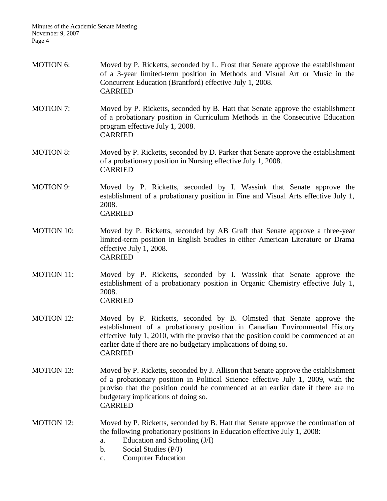| MOTION 6:         | Moved by P. Ricketts, seconded by L. Frost that Senate approve the establishment<br>of a 3-year limited-term position in Methods and Visual Art or Music in the<br>Concurrent Education (Brantford) effective July 1, 2008.<br><b>CARRIED</b>                                                                                   |
|-------------------|---------------------------------------------------------------------------------------------------------------------------------------------------------------------------------------------------------------------------------------------------------------------------------------------------------------------------------|
| <b>MOTION 7:</b>  | Moved by P. Ricketts, seconded by B. Hatt that Senate approve the establishment<br>of a probationary position in Curriculum Methods in the Consecutive Education<br>program effective July 1, 2008.<br><b>CARRIED</b>                                                                                                           |
| <b>MOTION 8:</b>  | Moved by P. Ricketts, seconded by D. Parker that Senate approve the establishment<br>of a probationary position in Nursing effective July 1, 2008.<br><b>CARRIED</b>                                                                                                                                                            |
| <b>MOTION 9:</b>  | Moved by P. Ricketts, seconded by I. Wassink that Senate approve the<br>establishment of a probationary position in Fine and Visual Arts effective July 1,<br>2008.<br><b>CARRIED</b>                                                                                                                                           |
| <b>MOTION 10:</b> | Moved by P. Ricketts, seconded by AB Graff that Senate approve a three-year<br>limited-term position in English Studies in either American Literature or Drama<br>effective July 1, 2008.<br><b>CARRIED</b>                                                                                                                     |
| <b>MOTION 11:</b> | Moved by P. Ricketts, seconded by I. Wassink that Senate approve the<br>establishment of a probationary position in Organic Chemistry effective July 1,<br>2008.<br><b>CARRIED</b>                                                                                                                                              |
| <b>MOTION 12:</b> | Moved by P. Ricketts, seconded by B. Olmsted that Senate approve the<br>establishment of a probationary position in Canadian Environmental History<br>effective July 1, 2010, with the proviso that the position could be commenced at an<br>earlier date if there are no budgetary implications of doing so.<br><b>CARRIED</b> |
| <b>MOTION 13:</b> | Moved by P. Ricketts, seconded by J. Allison that Senate approve the establishment<br>of a probationary position in Political Science effective July 1, 2009, with the<br>proviso that the position could be commenced at an earlier date if there are no<br>budgetary implications of doing so.<br><b>CARRIED</b>              |
| <b>MOTION 12:</b> | Moved by P. Ricketts, seconded by B. Hatt that Senate approve the continuation of<br>the following probationary positions in Education effective July 1, 2008:<br>Education and Schooling (J/I)<br>a.<br>Social Studies (P/J)<br>$\mathbf b$ .<br><b>Computer Education</b><br>$\mathbf{C}$ .                                   |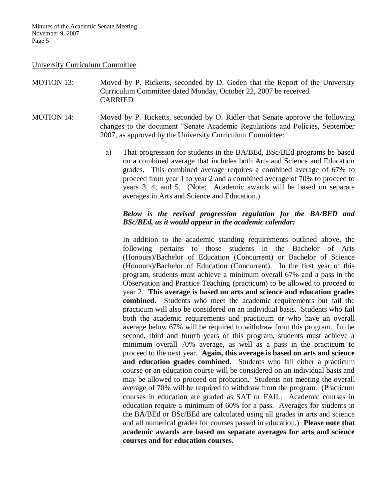Minutes of the Academic Senate Meeting November 9, 2007 Page 5

#### University Curriculum Committee

MOTION 13: Moved by P. Ricketts, seconded by D. Geden that the Report of the University Curriculum Committee dated Monday, October 22, 2007 be received. CARRIED

MOTION 14: Moved by P. Ricketts, seconded by O. Ridler that Senate approve the following changes to the document "Senate Academic Regulations and Policies, September 2007, as approved by the University Curriculum Committee:

> a) That progression for students in the BA/BEd, BSc/BEd programs be based on a combined average that includes both Arts and Science and Education grades. This combined average requires a combined average of 67% to proceed from year 1 to year 2 and a combined average of 70% to proceed to years 3, 4, and 5. (Note: Academic awards will be based on separate averages in Arts and Science and Education.)

# *Below is the revised progression regulation for the BA/BED and BSc/BEd, as it would appear in the academic calendar:*

In addition to the academic standing requirements outlined above, the following pertains to those students in the Bachelor of Arts (Honours)/Bachelor of Education (Concurrent) or Bachelor of Science (Honours)/Bachelor of Education (Concurrent). In the first year of this program, students must achieve a minimum overall 67% and a pass in the Observation and Practice Teaching (practicum) to be allowed to proceed to year 2. **This average is based on arts and science and education grades combined.** Students who meet the academic requirements but fail the practicum will also be considered on an individual basis. Students who fail both the academic requirements and practicum or who have an overall average below 67% will be required to withdraw from this program. In the second, third and fourth years of this program, students must achieve a minimum overall 70% average, as well as a pass in the practicum to proceed to the next year. **Again, this average is based on arts and science and education grades combined.** Students who fail either a practicum course or an education course will be considered on an individual basis and may be allowed to proceed on probation. Students not meeting the overall average of 70% will be required to withdraw from the program. (Practicum courses in education are graded as SAT or FAIL. Academic courses in education require a minimum of 60% for a pass. Averages for students in the BA/BEd or BSc/BEd are calculated using all grades in arts and science and all numerical grades for courses passed in education.) **Please note that academic awards are based on separate averages for arts and science courses and for education courses.**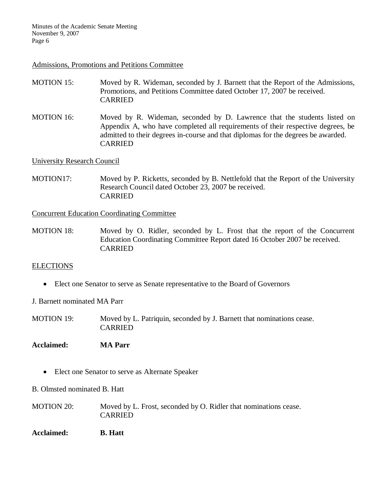Minutes of the Academic Senate Meeting November 9, 2007 Page 6

#### Admissions, Promotions and Petitions Committee

- MOTION 15: Moved by R. Wideman, seconded by J. Barnett that the Report of the Admissions, Promotions, and Petitions Committee dated October 17, 2007 be received. CARRIED
- MOTION 16: Moved by R. Wideman, seconded by D. Lawrence that the students listed on Appendix A, who have completed all requirements of their respective degrees, be admitted to their degrees in-course and that diplomas for the degrees be awarded. CARRIED

University Research Council

MOTION17: Moved by P. Ricketts, seconded by B. Nettlefold that the Report of the University Research Council dated October 23, 2007 be received. CARRIED

Concurrent Education Coordinating Committee

MOTION 18: Moved by O. Ridler, seconded by L. Frost that the report of the Concurrent Education Coordinating Committee Report dated 16 October 2007 be received. CARRIED

# ELECTIONS

Elect one Senator to serve as Senate representative to the Board of Governors

J. Barnett nominated MA Parr

- MOTION 19: Moved by L. Patriquin, seconded by J. Barnett that nominations cease. CARRIED
- **Acclaimed: MA Parr**
	- Elect one Senator to serve as Alternate Speaker

B. Olmsted nominated B. Hatt

- MOTION 20: Moved by L. Frost, seconded by O. Ridler that nominations cease. CARRIED
- **Acclaimed: B. Hatt**